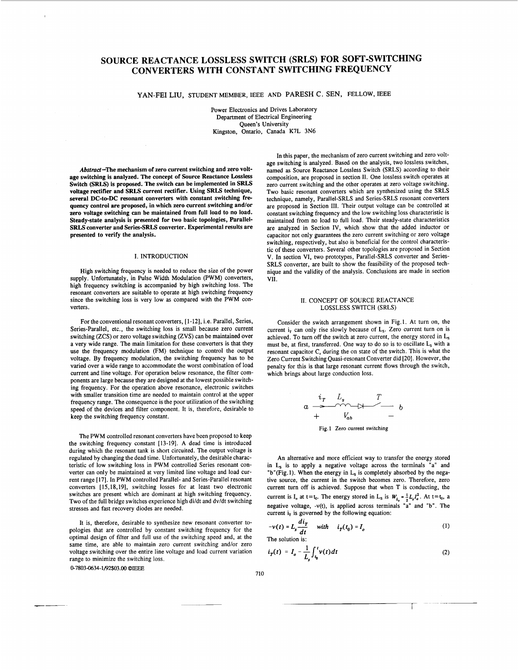# <span id="page-0-0"></span>**SOURCE REACTANCE LOSSLESS SWITCH (SRLS) FOR SOFT-SWITCHING CONVERTERS WITH CONSTANT SWITCHING FREQUENCY**

**YAN-FE1 LIU,** STUDENT MEMBER, IEEE AND **PARESH** C. **SEN,** FELLOW, IEEE

Power Electronics and Drives Laboratory Department of Electrical Engineering Queen's University Kingston, Ontario, Canada K7L 3N6

Abstract-The mechanism of zero current switching and zero volt**age switching is analyzed. The concept of Source Reactance Lossless Switch (SRLS) is proposed. The switch can be implemented in SRLS voltage rectifier and SRLS current rectifier. Using SRLS technique, several DC-to-DC resonant converters with constant switching fre**quency control are proposed, in which zero current switching and/or **zero voltage switching can be maintained from full load to no load. Steady-state analysis is presented for two basic topologies, Parallel-SRLS converter and Series-SRLS converter. Experimental results are presented to verify the analysis.** 

#### I. INTRODUCTION

High switching frequency is needed to reduce the size of the power supply. Unfortunately, in Pulse Width Modulation (PWM) converters, high frequency switching is accompanied by high switching **loss.** The resonant converters are suitable to operate at high switching frequency since the switching **loss** is very low **as** compared with the PWM converters.

For the conventional resonant converters, [1-12], i.e. Parallel, Series, Series-Parallel, etc., the switching loss is small because zero current switching (ZCS) or zero voltage switching (ZVS) can be maintained over a very wide range. The main limitation for these converters is that they use the frequency modulation (FM) technique to control the output voltage. By frequency modulation, the switching frequency has to be varied over a wide range to accommodate the worst combination of load current and line voltage. For operation below resonance, the filter components are large because they are designed at the lowest possible switching frequency. For the operation above resonance, electronic switches with smaller transition time are needed to maintain control at the upper frequency range. The consequence is the poor utilization of the switching speed of the devices and filter component. It is, therefore, desirable to keep the switching frequency constant.

The PWM controlled resonant converters have been proposed to keep the switching frequency constant [13-19]. A dead time is introduced during which the resonant tank is short circuited. The output voltage is regulated by changing the dead time. Unfortunately, the desirable characteristic of low switching loss in PWM controlled Series resonant converter can only be maintained at very limited line voltage and load current range [17]. In PWM controlled Parallel- and Series-Parallel resonant converters [ **15,18,19],** switching losses for at least two electronic switches are present which are dominant at high switching frequency. Two of the full bridge switches experience high di/dt and dv/dt switching stresses and fast recovery diodes are needed.

It is, therefore, desirable to synthesize new resonant converter topologies that are controlled by constant switching frequency for the optimal design of filter and full use of the switching speed and, at the same time, are able to maintain zero current switching and/or zero voltage switching over the entire line voltage and load current variation range to minimize the switching loss.

0-7803-0634-1/92\$03.00 ©IEEE

In this paper, the mechanism of zero current switching and zero voltage switching is analyzed. Based on the analysis, two lossless switches, named **as** Source Reactance Lossless Switch (SRLS) according to their composition, are proposed in section 11. One lossless switch operates at zero current switching and the other operates at zero voltage switching. Two basic resonant converters which are synthesized using the SRLS technique, namely, Parallel-SRLS and Series-SRLS resonant converters are proposed in Section 111. Their output voltage can be controlled at constant switching frequency and the low switching **loss** characteristic is maintained from no load to full load. Their steady-state characteristics are analyzed in Section IV, which show that the added inductor or capacitor not only guarantees the zero current switching or zero voltage switching, respectively, but also is beneficial for the control characteristic of these converters. Several other topologies are proposed in Section V. In section VI, two prototypes, Parallel-SRLS converter and Series-SRLS converter, are built to show the feasibility of the proposed technique and the validity of the analysis. Conclusions are made in section VI1 .

### II. CONCEPT OF SOURCE REACTANCE LOSSLESS SWITCH (SRLS)

Consider the switch arrangement shown in Fig.1. At turn on, the current  $i<sub>r</sub>$  can only rise slowly because of  $L<sub>s</sub>$ . Zero current turn on is achieved. To turn off the switch at zero current, the energy stored in  $L_s$ must be, at first, transferred. One way to do so is to oscillate  $L_s$  with a resonant capacitor C, during the on state of the switch. This is what the Zero Current Switching Quasi-resonant Converter did [20]. However, the penalty for this is that large resonant current flows through the switch, which brings about large conduction loss.

$$
\begin{array}{cccc}\n a & \xrightarrow{i} & L_s & T \\
 & + & V_{ab} & -\n \end{array}
$$

**Fig. 1** Zero current switching

An alternative and more efficient way to transfer the energy stored in L<sub>s</sub> is to apply a negative voltage across the terminals "a" and "b"(Fig. 1). When the energy in  $L_s$  is completely absorbed by the negative source, the current in the switch becomes zero. Therefore, zero current turn off is achieved. Suppose that when T is conducting, the current is I<sub>o</sub> at t=t<sub>0</sub>. The energy stored in L<sub>s</sub> is  $W_{L_n} = \frac{1}{2}L_sI_o^2$ . At t=t<sub>0</sub>, a negative voltage, -v(t), is applied across terminals "a" and "b". The current  $i<sub>T</sub>$  is governed by the following equation:

$$
-v(t) = L_s \frac{di_T}{dt} \quad \text{with} \quad i_T(t_0) = I_o \tag{1}
$$

$$
dt
$$
 The solution is:

$$
i_T(t) = I_o - \frac{1}{L_s} \int_{t_0}^t v(t) dt
$$
 (2)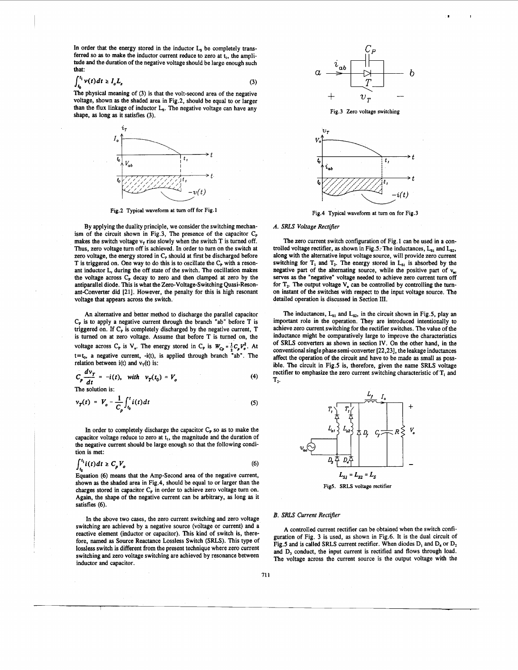In order that the energy stored in the inductor  $L<sub>s</sub>$  be completely transferred so **as** to make the inductor current reduce to zero at t,, the amplitude **and** the duration of the negative voltage should be large enough such that:

$$
\int_{t_0}^{t_1} v(t) dt \ge I_o L_s \tag{3}
$$

The physical meaning of (3) is that the volt-second area of the negative voltage, shown **as** the shaded area in Fig.2, should be equal to or larger than the flux linkage of inductor **L,.** The negative voltage can have any shape, **as** long **as** it satisfies (3). **Fig.3 Zero voltage switching** 



**Fig.2 Typical waveform at** turn **off for [Fig. 1](#page-0-0)** 

By applying the duality principle, we consider the switching mechanism of the circuit shown in Fig.3, The presence of the capacitor **C,**  makes the switch voltage  $v_T$  rise slowly when the switch T is turned off. Thus, zero voltage turn off is achieved. In order to turn on the switch at zero voltage, the energy stored in  $C<sub>P</sub>$  should at first be discharged before T is triggered on. One way to do this is to oscillate the **C,** with a resonant inductor L, during the off state of the switch. The oscillation makes the voltage across  $C_P$  decay to zero and then clamped at zero by the antiparallel diode. This is what the Zero-Voltage-Switching Quasi-Resonant-Converter did **[21].** However, the penalty for this is high resonant voltage that appears across the switch.

An alternative and better method to discharge the parallel capacitor  $C<sub>P</sub>$  is to apply a negative current through the branch "ab" before T is triggered on. If **C,** is completely discharged by the negative current, T is turned on at zero voltage. Assume that before T is turned on, the voltage across C<sub>P</sub> is V<sub>o</sub>. The energy stored in C<sub>P</sub> is  $W_{C_p} = \frac{1}{2}C_pV_e^2$ . At  $t=t_0$ , a negative current,  $-i(t)$ , is applied through branch "ab". The relation between i(t) and  $v_T(t)$  is:

$$
C_p \frac{dv_T}{dt} = -i(t), \quad \text{with} \quad v_T(t_0) = V_o \tag{4}
$$
  
The solution is:

$$
v_T(t) = V_o - \frac{1}{C_p} \int_{t_0}^t i(t) dt
$$
 (5)

In order to completely discharge the capacitor **C,** so **as** to make the capacitor voltage reduce to zero at  $t_1$ , the magnitude and the duration of the negative current should be large enough so that the following condition is met:

$$
\int_{t_0}^{t_1} i(t)dt \ge C_p V_o \tag{6}
$$

Equation (6) means that the Amp-Second area of the negative current, shown **as** the shaded area in Fig.4, should be equal to or larger than the charges stored in capacitor  $C<sub>e</sub>$  in order to achieve zero voltage turn on. Again, the shape of the negative current can be arbitrary, **as** long **as** it satisfies (6).

In the above two cases, the zero current switching and zero voltage switching are achieved by a negative source (voltage or current) and a reactive element (inductor or capacitor). This kind of switch is, therefore, named **as** Source Reactance **Lossless** Switch **(SRLS).** This type of lossless switch is different from the present technique where zero current switching and zero voltage switching are achieved by resonance between inductor **and** capacitor.



**Fig.4 Typical waveform at turn on** for **Fig.3** 

#### *A. SRLS Voltage RectiJer*

<sup>I</sup>**<sup>I</sup>**I

The zero current switch configuration of [Fig. 1](#page-0-0) can be used in a controlled voltage rectifier, as shown in Fig.5. The inductances, L<sub>s1</sub> and L<sub>s2</sub>, along with the alternative input voltage source, will provide zero current switching for  $T_1$  and  $T_2$ . The energy stored in  $L_{s_1}$  is absorbed by the negative part of the alternating source, while the positive part of  $v_{\text{ac}}$ **serves as** the "negative" voltage needed to achieve zero current turn off for  $T_2$ . The output voltage  $V_2$  can be controlled by controlling the turnon instant of the switches with respect to the input voltage source. The detailed operation is discussed in Section **111.** 

The inductances,  $L_{s1}$  and  $L_{s2}$ , in the circuit shown in Fig.5, play an important role in the operation. They are introduced intentionally to achieve zero current switching for the rectifier switches. The value of the inductance might be comparatively large to improve the characteristics of **SRLS** converters **as** shown in section **IV.** On the other hand, in the conventional single phase semi-converter [22,23], the leakage inductances affect the operation of the circuit and have to be made **as** small as **poss**ible. The circuit in Fig.5 is, therefore, given the name SRLS voltage rectifier to emphasize the zero current switching characteristic of  $T_1$  and **T,.** 



# **B. SRLS Current Rectifier**

A controlled current rectifier can be obtained when the switch configuration of Fig. 3 is used, **as** shown in Fig.6. It is the dual circuit of Fig.5 and is called **SRLS** current rectifier. When diodes D, and **D,** or D, and **D,** conduct, the input current is rectified and flows through load. The voltage across the current source is the output voltage with the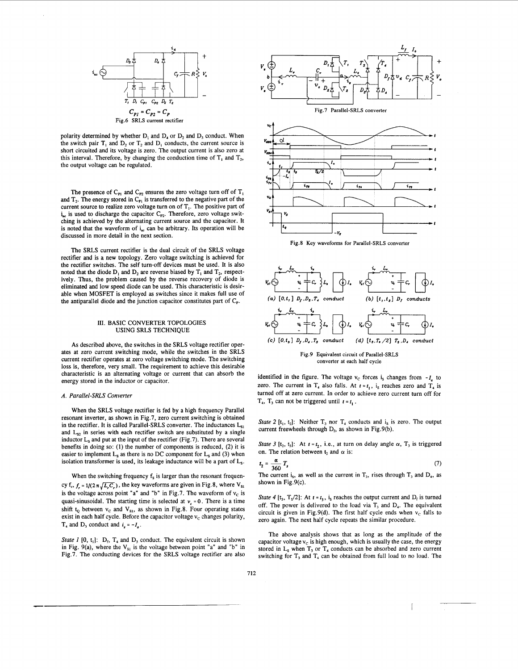

polarity determined by whether  $D_1$  and  $D_4$  or  $D_2$  and  $D_3$  conduct. When the switch pair  $T$ , and  $D_2$  or  $T_2$  and  $D_3$  conducts, the current source is short circuited and its voltage is zero. The output current is also zero at this interval. Therefore, by changing the conduction time of  $T_1$  and  $T_2$ , the output voltage can be regulated.

The presence of  $C_{p_1}$  and  $C_{p_2}$  ensures the zero voltage turn off of  $T_1$ and  $T_2$ . The energy stored in  $C_{p_1}$  is transferred to the negative part of the current source to realize zero voltage turn on of  $T_1$ . The positive part of  $i_{ac}$  is used to discharge the capacitor  $C_{p2}$ . Therefore, zero voltage switching is achieved by the alternating current source and the capacitor. It is noted that the waveform of i<sub>nc</sub> can be arbitrary. Its operation will be discussed in more detail in the next section.

The **SRLS** current rectifier is the dual circuit of the SRLS voltage rectifier and is a new topology. Zero voltage switching is achieved for the rectifier switches. The self turn-off devices must be used. It is also noted that the diode  $D_1$  and  $D_2$  are reverse biased by  $T_1$  and  $T_2$ , respectively. Thus, the problem caused by the reverse recovery of diode is eliminated and low speed diode can be used. This characteristic is desirable when MOSFET is employed as switches since it makes full use of the antiparallel diode and the junction capacitor constitutes part of  $C_{P}$ .

#### 111. BASIC CONVERTER TOPOLOGIES USING SRLS TECHNIQUE

As described above, the switches in the SRLS voltage rectifier operates at zero current switching mode, while the switches in the SRLS current rectifier operates at zero voltage switching mode. The switching **loss** is, therefore, very small. The requirement to achieve this desirable characteristic **is** an alternating voltage or current that can absorb the energy stored in the inductor or capacitor.

#### *A. Parallel-SRLS Convener*

When the SRLS voltage rectifier **is** fed by a high frequency Parallel resonant inverter, as shown in Fig.7, zero current switching is obtained in the rectifier. It is called Parallel-SRLS converter. The inductances  $L_{s_1}$ and  $L_{s2}$  in series with each rectifier switch are substituted by a single inductor  $L_s$  and put at the input of the rectifier (Fig.7). There are several benefits in doing so: (1) the number of components is reduced, **(2)** it is easier to implement  $L_s$  as there is no DC component for  $L_s$  and (3) when isolation transformer is used, its leakage inductance will be a part of  $L_s$ .

When the switching frequency  $f_s$  is larger than the resonant frequency f<sub>r</sub>,  $f_r = 1/(2\pi \sqrt{L_r C_r})$ , the key waveforms are given in Fig.8, where V<sub>si</sub> is the voltage across point "a" and "b" in Fig.7. The waveform of  $v_c$  is quasi-sinusoidal. The starting time is selected at  $v_c = 0$ . There is a time shift  $t_0$  between  $v_c$  and  $V_{s1}$ , as shown in Fig.8. Four operating states exist in each half cycle. Before the capacitor voltage  $v_c$  changes polarity,  $T_4$  and  $D_3$  conduct and  $i_s = -I_o$ .

*State 1* [0,  $t_1$ ]:  $D_f$ ,  $T_4$  and  $D_3$  conduct. The equivalent circuit is shown in Fig. 9(a), where the  $V_{s_1}$  is the voltage between point "a" and "b" in Fig.7. The conducting devices for the SRLS voltage rectifier are also



**Fig.7 Parallel-SRLS converter** 



**Fig.8 Key waveforms for Parallel-SRLS converter** 



**converter at each half cycle** 

identified in the figure. The voltage  $v_c$  forces i<sub>s</sub> changes from  $-I_a$  to zero. The current in  $T_4$  also falls. At  $t = t_1$ , i<sub>s</sub> reaches zero and  $T_4$  is turned off at zero current. In order to achieve zero current turn off for  $T_4$ ,  $T_3$  can not be triggered until  $t = t_1$ .

*State 2* [ $t_1$ ,  $t_2$ ]: Neither  $T_3$  nor  $T_4$  conducts and  $i_5$  is zero. The output current freewheels through  $D_f$ , as shown in Fig.9(b).

*State 3* [t<sub>2</sub>, t<sub>3</sub>]: At  $t = t_2$ , i.e., at turn on delay angle  $\alpha$ ,  $T_3$  is triggered on. The relation between  $t_2$  and  $\alpha$  is:

$$
t_2 = \frac{\alpha}{360} T_s \tag{7}
$$

The current i<sub>s</sub>, as well as the current in  $T_3$ , rises through  $T_3$  and  $D_4$ , as shown in Fig.9(c).

*State* 4 [t<sub>3</sub>,  $T_s/2$ ]: At  $t = t_3$ , i<sub>s</sub> reaches the output current and  $D_t$  is turned off. The power is delivered to the load via  $T_3$  and  $D_4$ . The equivalent circuit is given in Fig.9(d). The first half cycle ends when  $v_c$  falls to zero again. The next half cycle repeats the similar procedure.

The above analysis shows that as long as the amplitude of the capacitor voltage  $v_c$  is high enough, which is usually the case, the energy stored in  $L_s$  when  $T_3$  or  $T_4$  conducts can be absorbed and zero current switching for  $T_3$  and  $T_4$  can be obtained from full load to no load. The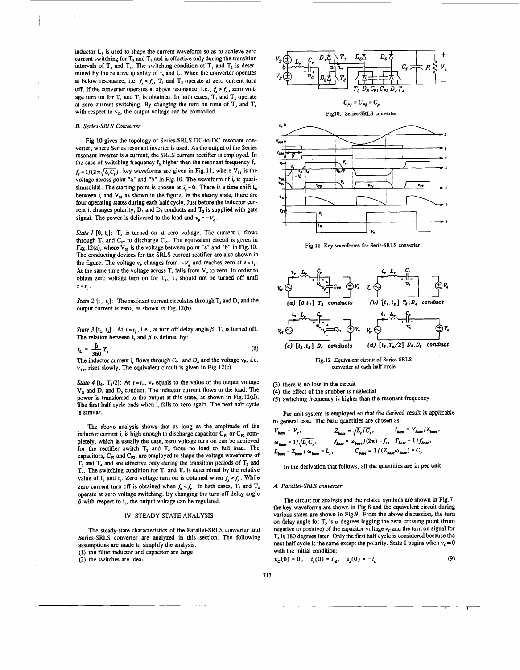inductor L, is used to shape the current waveform so as to achieve zero current switching for **T,** and T, and is effective only during the transition intervals of  $T_3$  and  $T_4$ . The switching condition of  $T_1$  and  $T_2$  is determined by the relative quantity of  $f_s$  and  $f_r$ . When the converter operates at below resonance, i.e.  $f_{\epsilon} < f_{\epsilon}$ ,  $T_1$  and  $T_2$  operate at zero current turn off. If the converter operates at above resonance, i.e., *f, >f,,* zero voltage turn on for  $T_1$  and  $T_2$  is obtained. In both cases,  $T_3$  and  $T_4$  operate at zero current switching. By changing the turn on time of T, and **T,**  with respect to  $v_c$ , the output voltage can be controlled.

## *B. Series-SRLS Converter*

Fig. 10 gives the topology of Series-SRLS DC-to-DC resonant converter, where Series resonant inverter is used. **As** the output of the Series resonant inverter is a current, the SRLS current rectifier is employed. In the case of switching frequency  $f_s$  higher than the resonant frequency  $f_r$ ,  $f_r = 1/(2\pi\sqrt{L_rC_r})$ , key waveforms are given in Fig.11, where  $V_{s1}$  is the voltage across point "a" and "b" in Fig. 10. The waveform of **i,** is **quasi**sinusoidal. The starting point is chosen at  $i_x = 0$ . There is a time shift  $t_R$ between i<sub>r</sub> and  $V_{s_1}$  as shown in the figure. In the steady state, there are four operating states during each half cycle. Just before the inductor current i, changes polarity, **D,** and **D,** conducts and **T,** is supplied with gate signal. The power is delivered to the load and  $v_p = -V_q$ .

*State I*  $[0, t_1]$ :  $T_3$  is turned on at zero voltage. The current i, flows through  $T_3$  and  $C_{p2}$  to discharge  $C_{p2}$ . The equivalent circuit is given in Fig. 12(a), where  $V_{s_1}$  is the voltage between point "a" and "b" in Fig. 10. The conducting devices for the SRLS current rectifier are also shown in the figure. The voltage  $v_p$  changes from  $-V_a$  and reaches zero at  $t = t_1$ . At the same time the voltage across **T,** falls from **V,** to zero. In order to obtain zero voltage turn on for T,, **T,** should not be turned off until  $t=t$ .,

*State 2* [t<sub>1</sub>, **t<sub>2</sub>**]: The resonant current circulates through  $T_3$  and  $D_4$  and the output current is zero, **as** shown in Fig. 12@).

*State 3* [t<sub>2</sub>, **t<sub>3</sub>**]: At *f* =  $t_2$ , i.e., at turn off delay angle  $\beta$ ,  $T_3$  is turned off.<br> **The relation between**  $t_2$  and  $\beta$  is defined by:<br>  $t_2 = \frac{\beta}{360} T_s$  (8) The relation between  $t_2$  and  $\beta$  is defined by:

$$
t_2 = \frac{\beta}{360} T_s \tag{8}
$$

The inductor current *i*, flows through  $C_{p_1}$  and  $D_4$  and the voltage  $v_p$ , *i.e.*  $v_{T3}$ , rises slowly. The equivalent circuit is given in Fig. 12(c).

*State 4*  $[t_3, T_s/2]$ : At  $t = t_3$ ,  $v_p$  equals to the value of the output voltage **V,** and D, and **D,** conduct. The inductor current flows to the load. The power is transferred to the output at this state, **as** shown in Fig. 12(d). The first half cycle ends when i, falls to zero again. The next half cycle is similar.

The above analysis shows that as long as the amplitude of the inductor current i, is high enough to discharge capacitor  $C_{P1}$  or  $C_{P2}$  completely, which is usually the case, zero voltage turn on can be achieved for the rectifier switch  $T_3$  and  $T_4$  from no load to full load. The capacitors, C<sub>P1</sub> and C<sub>P2</sub>, are employed to shape the voltage waveforms of T, and **T,** and are effective only during the transition periods of **T,** and  $T<sub>4</sub>$ . The switching condition for  $T<sub>1</sub>$  and  $T<sub>2</sub>$  is determined by the relative value of  $f_s$  and  $f_r$ . Zero voltage turn on is obtained when  $f_s > f_r$ . While zero current turn off is obtained when  $f_x < f_r$ . In bath cases,  $T_3$  and  $T_4$ operate at zero voltage switching. By changing the turn off delay angle  $\beta$  with respect to i<sub>r</sub>, the output voltage can be regulated.

#### **IV. STEADY-STATE ANALYSIS**

The steady-state characteristics of the Parallel-SRLS converter and Series-SRLS converter are analyzed in this section. The following assumptions are made to simplify the analysis: (1) the filter inductor and capacitor are large (2) the switches are ideal



 $C_{p_1} = C_{p_2} = C_p$ 

**FiglO.** Series-SRLS converter



Fig. **11** Key waveforms **for** Seris-SRLS converter



**Fig.12** Equivalent circuit **of** Series-SRLS converter **at** each **half** cycle

- (3) there is no loss in the circuit
- **(4)** the effect of the snubber is neglected
- *(5)* switching frequency is higher than the resonant frequency

Per unit system is employed *so* that the derived result is applicable to general case. The base quantities are chosen **as:** 

$$
V_{base} = V_x, \t Z_{base} = \sqrt{L_r/C_r}, \t I_{base} = V_{base} / 2_{base},
$$
  
\n
$$
\omega_{base} = 1/\sqrt{L_r C_r}, \t f_{base} = \omega_{base} / (2\pi) = f_r, \t T_{base} = 1/f_{base},
$$
  
\n
$$
L_{base} = Z_{base} / \omega_{base} = L_r, \t C_{base} = 1/(Z_{base} \omega_{base}) = C_r
$$

In the derivation that follows, all the quantities are in per unit.

#### *A. Parallel-SRLS convener*

The circuit for analysis and the related symbols are shown in'Fig.7, the key waveforms are shown in Fig.8 and the equivalent circuit during various states are shown in Fig.9. From the above discussion, the turn on delay angle for  $T_3$  is  $\alpha$  degrees lagging the zero crossing point (from negative to positive) of the capacitor voltage  $v_c$  and the turn on signal for **T,** is **180** degrees later. Only the first half cycle is considered because the next half cycle is the same except the polarity. State 1 begins when  $v_c=0$ with the initial condition:

$$
v_C(0) = 0, \quad i_r(0) = I_{r0}, \quad i_s(0) = -I_o \tag{9}
$$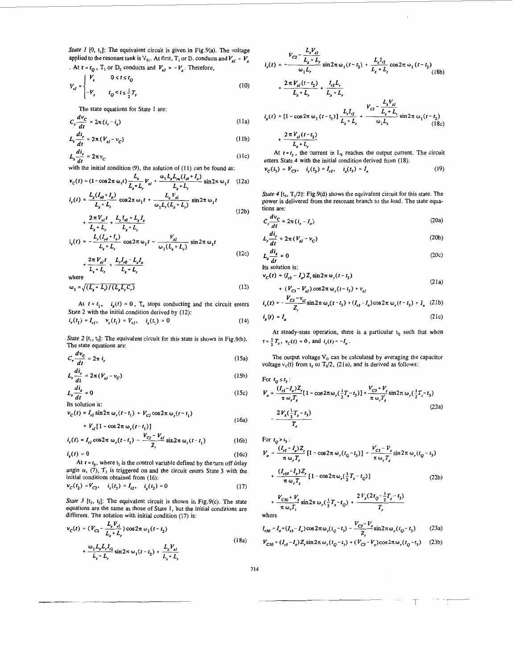*State I* [0, t<sub>1</sub>]: The equivalent circuit is given in Fig.9(a). The voltage applied to the resonant tank is  $V_{s_1}$ . At first, T<sub>i</sub> or D<sub>i</sub> conducts and  $V_{s_1} = V_{s_1}$ . At  $t = t_0$ ,  $T_2$  or  $D_2$  conducts and  $V_{sl} = -V_s$ . Therefore,

$$
V_{el} = \begin{cases} V_s & 0 \le t \le t_Q \\ -V_s & t_Q < t \le \frac{1}{2}T_s \end{cases} \tag{10}
$$

$$
C_r \frac{dv_c}{dt} = 2\pi (i_r - i_s)
$$
 (11a)  

$$
di_r
$$
 (11b)

$$
L_r \frac{di_r}{dt} = 2\pi (V_{sI} - v_C)
$$
\n(11b)\n
$$
+ \frac{2\pi r_{sI}(V - t_2)}{L_s + L_r}
$$
\n
$$
L_s \frac{di_s}{dt} = 2\pi v_C
$$
\n(11c)\n
$$
+ \frac{2\pi r_{sI}(V - t_2)}{L_s + L_r}
$$
\n(11d)\n
$$
+ \frac{2\pi r_{sI}(V - t_2)}{L_s + L_r}
$$
\n(11e)\n
$$
+ \frac{2\pi r_{sI}(V - t_2)}{L_s + L_r}
$$

with the initial condition (9), the solution of (11) can be found as:

$$
v_C(t) = (1 - \cos 2\pi \omega_1 t) \frac{L_s}{L_s + L_r} V_{sl} + \frac{\omega_1 L_s L_m (I_m + I_o)}{L_s + L_r} \sin 2\pi \omega_1 t \quad (12a)
$$
  

$$
i_r(t) = \frac{L_s (I_m + I_o)}{L_s + L_r} \cos 2\pi \omega_1 t + \frac{L_s V_{sl}}{\omega_1 L_r (L_s + L_r)} \sin 2\pi \omega_1 t
$$
  

$$
2\pi V_s t, L_s I_s + L_s I
$$
 (12b)

$$
i_{s}(t) = -\frac{L_{r}(I_{r0} + I_{r})}{L_{s} + L_{r}} \cos 2\pi \omega_{1} t - \frac{V_{sl}}{\omega_{1}(L_{s} + L_{r})} \sin 2\pi \omega_{1} t
$$
\n
$$
+ \frac{2\pi V_{sl}t}{L_{s} + L_{r}} + \frac{L_{r}I_{r0} - L_{s}I_{s}}{L_{s} + L_{r}} + \frac{L_{r}I_{r0} - L_{s}I_{s}}{L_{s} + L_{r}}
$$
\n(12c)\n
$$
L_{s} \frac{di_{s}}{dt} = 0
$$
\nIts solution is:

where  
\n
$$
v_C(t) = (I_{r3} - I_o) Z_r \sin 2\pi \omega_r (t - t_3)
$$
\n
$$
\omega_1 = \sqrt{(L_s + L_r) / (L_s L_r C_r)}
$$
\n(13) 
$$
+ (V_{C3} - V_{s1}) \cos 2\pi \omega_r (t - t_3) + v_{s1}
$$

At  $t = t_1$ ,  $i_s(t) = 0$ ,  $T_4$  stops conducting and the circuit enters  $i_s$ State 2 with the initial condition derived by (12):<br>  $i_1(t_1) = I_1, \quad v_1(t_1) = V_1, \quad i_1(t_1) = 0$  (14)  $i_s(t) = I_0$ **(14)**  $i_x(t_1) = I_{r1}, \quad v_c(t_1) = V_{c1}, \quad i_s(t_1) = 0$  (14)  $i_s(t) = I_o$  (21c)

*State 2* [t<sub>1</sub>, t<sub>2</sub>]: The equivalent circuit for this state is shown in Fig.9(b).  $t = \frac{1}{2}T_x$ ,  $v_c(t) = 0$ , and  $i_r(t) = -I_o$ . The state equations are:

$$
C_r \frac{dv_c}{dt} = 2\pi i, \qquad (15a)
$$

$$
L_r \frac{di_r}{dt} = 2\pi (V_{sl} - v_c)
$$
 (15b)

$$
L_s \frac{a t_s}{dt} = 0
$$
 (15c)  
Its solution is:

 $v_c(t) = I_{r1} \sin 2\pi \omega_r(t-t_1) + V_{c1} \cos 2\pi \omega_r(t-t_1)$ 

$$
+ V_{sl}[1 - \cos 2\pi \omega_r (t - t_1)] \tag{16a}
$$

+ 
$$
V_{sI}[1 - \cos 2\pi \omega_r(t - t_1)]
$$
  
\n $i_r(t) = I_{rI} \cos 2\pi \omega_r(t - t_1) - \frac{V_{CI} - V_{sI}}{Z_r} \sin 2\pi \omega_r(t - t_1)$   
\n $i_s(t) = 0$   
\n
$$
i_s(t) = 0
$$
\n
$$
V_s = \frac{(I_{rJ} - I_s)Z_r}{\pi \omega_r T_s} [1 - \cos 2\pi \omega_r(t_0 - t_1)] + \frac{V_{CJ} - V_s}{\pi \omega_r T_s} \sin 2\pi \omega_r(t_0 - t_1)
$$

$$
i_{s}(t) = 0 \tag{16c}
$$

At 
$$
t = t_2
$$
, where  $t_2$  is the control variable defined by the turn off delay  
angle  $\alpha$ , (7),  $T_3$  is triggered on and the circuit enters State 3 with the  
initial conditions obtained from (16):  
 $v_C(t_2) = V_{C_2}$ ,  $i_r(t_2) = I_{r_2}$ ,  $i_s(t_2) = 0$  (17)

*State 3*  $[t_2, t_3]$ : The equivalent circuit is shown in Fig.9(c). The state equations are the same **as** those of State 1, but the initial conditions are different. The solution with initial condition (17) is: where

initial conditions obtained from (16):  
\n
$$
v_{C}(t_{2}) = V_{C_{2}}, \quad i_{r}(t_{2}) = I_{r_{2}}, \quad i_{s}(t_{2}) = 0
$$
\n
$$
State 3 [t_{2}, t_{3}]: The equivalent circuit is shown in Fig.9(c). The state\nequations are the same as those of State 1, but the initial conditions are\ndifferent. The solution with initial condition (17) is:\n
$$
v_{C}(t) = (V_{C_{2}} - \frac{L_{s}V_{s1}}{L_{s} + L_{r}}) \cos 2\pi \omega_{1}(t - t_{2})
$$
\n
$$
v_{C}(t) = (V_{C_{2}} - \frac{L_{s}V_{s1}}{L_{s} + L_{r}}) \cos 2\pi \omega_{1}(t - t_{2}) + \frac{L_{s}V_{s1}}{L_{s} + L_{r}}
$$
\n
$$
(18a) V_{C30} = (I_{r3} - I_{o})Z_{r} \sin 2\pi \omega_{r}(t_{Q} - t_{3}) + (V_{C_{3}} - V_{s}) \cos 2\pi \omega_{r}(t_{Q} - t_{3})
$$
\n
$$
+ \frac{\omega_{1}L_{s}L_{r}I_{s2}}{L_{s} + L_{r}} \sin 2\pi \omega_{1}(t - t_{2}) + \frac{L_{s}V_{s1}}{L_{s} + L_{r}}
$$
\n
$$
(18a) V_{C30} = (I_{r3} - I_{o})Z_{r} \sin 2\pi \omega_{r}(t_{Q} - t_{3}) + (V_{C_{3}} - V_{s}) \cos 2\pi \omega_{r}(t_{Q} - t_{3})
$$
\n
$$
(23b)
$$
$$

| <i>State 1</i> [0, t <sub>1</sub> ]: The equivalent circuit is given in Fig.9(a). The voltage applied to the resonant tank is $V_{S_1}$ . At first, $T_1$ or $D_1$ conducts and $V_{xI} = V_x$ \n <td>\n<math display="block">V_{c2} - \frac{L_y V_{zI}}{L_x + L_y}</math>\n</td> \n <td>\n<math display="block">V_{c1} = \begin{cases}\n V_x &amp; 0 \le t \le t_0 \\  -V_x &amp; t_0 &lt; t \le \frac{1}{2}T_x\n \end{cases}</math>\n</td> \n <td>\n<math display="block">V_{t1} = \begin{cases}\n V_x &amp; 0 \le t \le t_0 \\  -V_y &amp; t_0 &lt; t \le \frac{1}{2}T_x\n \end{cases}</math>\n</td> \n <td>\n<math display="block">V_{t2} = \begin{cases}\n V_x &amp; 0 \le t \le t_0 \\  -V_y &amp; t_0 &lt; t \le \frac{1}{2}T_y\n \end{cases}</math>\n</td> \n <td>\n<math display="block">V_{t1} = \begin{cases}\n (10) &amp; \frac{2\pi V_{zI}(t - t_2)}{L_x + L_y} + \frac{I_{r2}L_y}{L_x + L_y} \\  -\frac{I_{r2}L_y}{L_x + L_y} + \frac{I_{r2}L_y}{L_x + L_y}\n \end{cases}</math>\n</td> \n <td>\n<math display="block">V_{c2} - \frac{L_x V_{zI}}{L_x + L_y}</math>\n</td> \n <td>\n<math display="block">V_{c2} - \frac{L_x V_{zI}}{L_x + L_y}</math>\n</td> \n <td>\n<math display="block">V_{c1} - \frac{L_x V_{zI}}{L_x + L_y}</math>\n</td> \n <td>\n<math display="block">V_{c2} - \frac{L_x V_{zI}}{L_x + L_y}</math>\n</td> \n <td>\n<math display="block">V_{c1} - \frac{L_x V_{zI}}{L_x + L_y}</math>\n</td> \n <td>\n<math display="block">V_{c2} - \frac{L_x V_{zI}}{L_x + L_y}</math>\n</td> \n <td>\n<math display="block">V_{c1} - \frac{L_x V_{zI}}{L_x + L_y}</math>\n</td> \n <td>\n<math display="block">V_{</math></td> | \n $V_{c2} - \frac{L_y V_{zI}}{L_x + L_y}$ \n | \n $V_{c1} = \begin{cases}\n V_x & 0 \le t \le t_0 \\  -V_x & t_0 < t \le \frac{1}{2}T_x\n \end{cases}$ \n | \n $V_{t1} = \begin{cases}\n V_x & 0 \le t \le t_0 \\  -V_y & t_0 < t \le \frac{1}{2}T_x\n \end{cases}$ \n | \n $V_{t2} = \begin{cases}\n V_x & 0 \le t \le t_0 \\  -V_y & t_0 < t \le \frac{1}{2}T_y\n \end{cases}$ \n | \n $V_{t1} = \begin{cases}\n (10) & \frac{2\pi V_{zI}(t - t_2)}{L_x + L_y} + \frac{I_{r2}L_y}{L_x + L_y} \\  -\frac{I_{r2}L_y}{L_x + L_y} + \frac{I_{r2}L_y}{L_x + L_y}\n \end{cases}$ \n | \n $V_{c2} - \frac{L_x V_{zI}}{L_x + L_y}$ \n | \n $V_{c2} - \frac{L_x V_{zI}}{L_x + L_y}$ \n | \n $V_{c1} - \frac{L_x V_{zI}}{L_x + L_y}$ \n | \n $V_{c2} - \frac{L_x V_{zI}}{L_x + L_y}$ \n | \n $V_{c1} - \frac{L_x V_{zI}}{L_x + L_y}$ \n | \n $V_{c2} - \frac{L_x V_{zI}}{L_x + L_y}$ \n | \n $V_{c1} - \frac{L_x V_{zI}}{L_x + L_y}$ \n | \n $V_{$ |
|-----------------------------------------------------------------------------------------------------------------------------------------------------------------------------------------------------------------------------------------------------------------------------------------------------------------------------------------------------------------------------------------------------------------------------------------------------------------------------------------------------------------------------------------------------------------------------------------------------------------------------------------------------------------------------------------------------------------------------------------------------------------------------------------------------------------------------------------------------------------------------------------------------------------------------------------------------------------------------------------------------------------------------------------------------------------------------------------------------------------------------------------------------------------------------------------------------------------------------------------------------------------------------------------------------------------------------------------------------------------------------------------------------------------------------------------------------------------------------------------------------------------------------------------------------------------------------------------------------------------------------------------------------------|-----------------------------------------------|------------------------------------------------------------------------------------------------------------|------------------------------------------------------------------------------------------------------------|------------------------------------------------------------------------------------------------------------|-------------------------------------------------------------------------------------------------------------------------------------------------------------------------------------------|-----------------------------------------------|-----------------------------------------------|-----------------------------------------------|-----------------------------------------------|-----------------------------------------------|-----------------------------------------------|-----------------------------------------------|----------|
|-----------------------------------------------------------------------------------------------------------------------------------------------------------------------------------------------------------------------------------------------------------------------------------------------------------------------------------------------------------------------------------------------------------------------------------------------------------------------------------------------------------------------------------------------------------------------------------------------------------------------------------------------------------------------------------------------------------------------------------------------------------------------------------------------------------------------------------------------------------------------------------------------------------------------------------------------------------------------------------------------------------------------------------------------------------------------------------------------------------------------------------------------------------------------------------------------------------------------------------------------------------------------------------------------------------------------------------------------------------------------------------------------------------------------------------------------------------------------------------------------------------------------------------------------------------------------------------------------------------------------------------------------------------|-----------------------------------------------|------------------------------------------------------------------------------------------------------------|------------------------------------------------------------------------------------------------------------|------------------------------------------------------------------------------------------------------------|-------------------------------------------------------------------------------------------------------------------------------------------------------------------------------------------|-----------------------------------------------|-----------------------------------------------|-----------------------------------------------|-----------------------------------------------|-----------------------------------------------|-----------------------------------------------|-----------------------------------------------|----------|

enters State **4** with the initial condition derived from (18):

$$
V_C(t_3) = V_{CS}, \quad i_r(t_3) = I_{r3}, \quad i_s(t_3) = I_o \tag{19}
$$

*State* 4 [t<sub>3</sub>, T<sub>s</sub>/2]: Fig.9(d) shows the equivalent circuit for this state. The power is delivered from the resonant branch to the load. The state equa- $\overline{\text{tions}}$  are:

$$
+ \frac{2\pi V_{sI}t}{L_s + L_r} + \frac{L_rL_o + L_sL_o}{L_s + L_r}
$$
\n(20a)

$$
r_r \frac{di_r}{dt} = 2\pi (V_{sl} - v_c) \tag{20b}
$$

$$
L_s \frac{di_s}{dt} = 0 \tag{20c}
$$

$$
V_C(t) = (I_{r3} - I_o) Z_r \sin 2\pi \omega_r (t - t_3)
$$

$$
(21a) + (V_{C3} - V_{s1}) \cos 2\pi \omega_r (t - t_3) + v_{s1}
$$

$$
V_r(t) = -\frac{V_{cs} - V_{st}}{Z_r} \sin 2\pi \omega_r (t - t_3) + (I_{r,1} - I_o) \cos 2\pi \omega_r (t - t_3) + I_o
$$
 (21b)

At steady-state operation, there is a particular  $t_0$  such that when  $t = \frac{1}{2} T_s$ ,  $v_C(t) = 0$ , and  $i_r(t) = -I_o$ .

The output voltage  $V_0$  can be calculated by averaging the capacitor voltage  $v_c(t)$  from  $t_3$  to T<sub>s</sub>/2, (21a), and is derived as follows:

(15b) For 
$$
t_0 \le t_3
$$
:  
\n
$$
V_o = \frac{(I_{r3} - I_o)Z_r}{\pi \omega_r T_s} [1 - \cos 2\pi \omega_r (\frac{1}{2}T_s - t_3)] + \frac{V_{C3} + V_s}{\pi \omega_r T_s} \sin 2\pi \omega_r (\frac{1}{2}T_s - t_3)
$$
\n(16a) 
$$
- \frac{2V_s(\frac{1}{2}T_s - t_3)}{T_s}
$$
\n(22a)

(16b) For  $t_q > t_3$ :

$$
V_o = \frac{(I_{r3} - I_o)Z_r}{\pi \omega_r T_s} [1 - \cos 2\pi \omega_r (t_Q - t_3)] + \frac{V_{C3} - V_s}{\pi \omega_r T_s} \sin 2\pi \omega_r (t_Q - t_3)
$$
  
+ 
$$
\frac{(I_{r30} - I_o)Z_r}{\pi \omega_r T_s} [1 - \cos 2\pi \omega_r (\frac{1}{2}T_s - t_Q)]
$$
(22b)

$$
+\frac{V_{C30}+V_s}{\pi \omega_r T_s} \sin 2\pi \omega_r (\frac{1}{2}T_s-t_Q) + \frac{2 V_s (2t_Q - \frac{1}{2}T_s - t_3)}{T_s}
$$

$$
I_{r30} = I_o + (I_{r3} - I_o)\cos 2\pi \omega_r (t_Q - t_3) - \frac{V_{cs} - V_s}{Z_r} \sin 2\pi \omega_r (t_Q - t_3)
$$
 (23a)

(18a) 
$$
V_{C30} = (I_{r3} - I_o)Z_r \sin 2\pi \omega_r (t_Q - t_3) + (V_{C3} - V_s) \cos 2\pi \omega_r (t_Q - t_3)
$$
 (23b)

T

714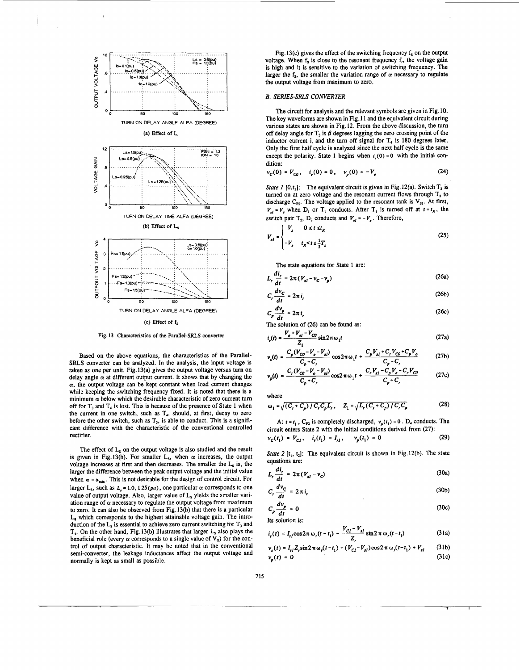

Fig. 13 **Characteristics** of **the Parallel-SRLS converter** 

Based on the above equations, the characteristics of the Parallel-**SRLS** converter can be analyzed. In the analysis, the input voltage is taken as one per unit. Fig.l3(aj gives the output voltage versus turn on delay angle  $\alpha$  at different output current. It shows that by changing the  $\alpha$ , the output voltage can be kept constant when load current changes while keeping the switching frequency fixed. It is noted that there is a minimum  $\alpha$  below which the desirable characteristic of zero current turn off for  $T_1$  and  $T_4$  is lost. This is because of the presence of State 1 when the current in one switch, such as  $T<sub>4</sub>$ , should, at first, decay to zero before the other switch, such as  $T_3$ , is able to conduct. This is a significant difference with the characteristic of the conventional controlled rectifier.

The effect of L<sub>s</sub> on the output voltage is also studied and the result is given in Fig.13(b). For smaller  $L_s$ , when  $\alpha$  increases, the output voltage increases at first and then decreases. The smaller the **L,** is, the larger the difference between the peak output voltage and the initial value when  $\alpha = \alpha_{min}$ . This is not desirable for the design of control circuit. For larger  $L_s$ , such as  $L_s = 1.0$ , 1.25( $pu$ ), one particular  $\alpha$  corresponds to one value of output voltage. Also, larger value of L<sub>s</sub> yields the smaller variation range of  $\alpha$  necessary to regulate the output voltage from maximum to zero. It can also be observed from Fig. 13(b) that there is a particular La which corresponds to the highest attainable voltage gain. The introduction of the  $L_s$  is essential to achieve zero current switching for  $T_3$  and T,. On the other hand, Fig. **130)** illustrates that larger **L,** also plays the beneficial role (every  $\alpha$  corresponds to a single value of  $V_0$ ) for the control of output characteristic. It may be noted that in the conventional semi-converter, the leakage inductances affect the output voltage and normally is kept **as** small as possible.

Fig. 13(c) gives the effect of the switching frequency  $f_s$  on the output voltage. When  $f_s$  is close to the resonant frequency  $f_r$ , the voltage gain is high and it is sensitive to the variation of switching frequency. The larger the f<sub>s</sub>, the smaller the variation range of  $\alpha$  necessary to regulate the output voltage from maximum to zero.

# *B. SERIES-SRLS CONVERTER*

The circuit for analysis and the relevant symbols are given in Fig. 10. The key waveforms are shown in [Fig. 1](#page-0-0)1 and the equivalent circuit during various states are shown in Fig.12. From the above discussion, the turn off delay angle for  $T_3$  is  $\beta$  degrees lagging the zero crossing point of the inductor current i, and the turn off signal for  $T<sub>4</sub>$  is 180 degrees later. Only the first half cycle is analyzed since the next half cycle is the same except the polarity. State 1 begins when  $i_r(0) = 0$  with the initial condition:

$$
v_C(0) = V_{C0}, \quad i_r(0) = 0, \quad v_p(0) = -V_o \tag{24}
$$

*State 1* [0,t<sub>1</sub>]: The equivalent circuit is given in Fig. 12(a). Switch  $T_3$  is turned on at zero voltage and the resonant current **flows** through T, to discharge C<sub>P2</sub>. The voltage applied to the resonant tank is V<sub>S1</sub>. At first,  $V_{i,j} = V_i$ , when  $D_i$  or  $T_i$  conducts. After  $T_i$  is turned off at  $t = t_R$ , the switch pair  $T_2$ ,  $D_2$  conducts and  $V_{sl} = -V_s$ . Therefore,

$$
V_{sl} = \begin{cases} V_s & 0 \le t \le t_R \\ -V_s & t_R < t \le \frac{1}{2}T_s \end{cases} \tag{25}
$$

The state equations for State 1 are:

$$
L_r \frac{di_r}{dt} = 2\pi (V_{sl} - v_c - v_p)
$$
 (26a)

$$
C_r \frac{d\mathbf{v}_c}{dt} = 2\pi i, \tag{26b}
$$

$$
C_p \frac{d\mathbf{v}_p}{dt} = 2\pi i, \tag{26c}
$$

 $\frac{d}{dt}$  The solution of (26) can be found as:

$$
i_r(t) = \frac{V_o + V_{rI} - V_{CO}}{Z_1} \sin 2\pi \omega_1 t
$$
 (27a)

$$
v_c(t) = \frac{C_p(V_{co} - V_o - V_{sl})}{C_p + C_r} \cos 2\pi \omega_1 t + \frac{C_p V_{sl} + C_r V_{co} + C_p V_o}{C_p + C_r}
$$
 (27b)

$$
v_p(t) = \frac{C_r(V_{CO} - V_o - V_{el})}{C_p + C_r} \cos 2 \pi \omega_1 t + \frac{C_r V_{el} - C_p V_o - C_r V_{CO}}{C_p + C_r}
$$
(27c)

where

$$
\omega_1 = \sqrt{(C_r + C_p) / C_r C_p L_r}, \quad Z_1 = \sqrt{L_r (C_r + C_p) / C_r C_p}
$$
 (28)

At  $t = t_1$ ,  $C_{p_2}$  is completely discharged,  $v_p(t_1) = 0$ .  $D_4$  conducts. The circuit enters State 2 with the initial conditions derived from **(27):** 

$$
\nu_C(t_1) = V_{CI}, \quad i_r(t_1) = I_{r1}, \quad \nu_p(t_1) = 0 \tag{29}
$$

*State 2*  $[t_1, t_2]$ : The equivalent circuit is shown in Fig.12(b). The state equations are:

$$
L_r \frac{di_r}{dt} = 2\pi (V_{sl} - v_c) \tag{30a}
$$

$$
C_r \frac{dv_c}{dt} = 2\pi i, \tag{30b}
$$

$$
C_p \frac{dv_p}{dt} = 0
$$
 (30c)  
Its solution is:

$$
i_r(t) = I_{r1} \cos 2\pi \omega_r (t - t_1) - \frac{V_{C1} - V_{st}}{Z_r} \sin 2\pi \omega_r (t - t_1)
$$
 (31a)

$$
v_{e}(t) = I_{t} Z_{t} \sin 2\pi \omega_{t} (t - t_{1}) + (V_{C1} - V_{sl}) \cos 2\pi \omega_{t} (t - t_{1}) + V_{sl}
$$
 (31b)  

$$
v_{p}(t) = 0
$$
 (31c)

**r** I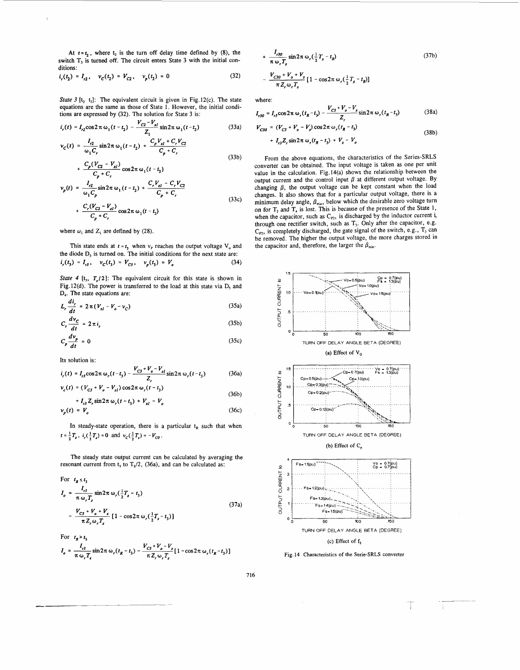At  $t = t_2$ , where  $t_2$  is the turn off delay time defined by (8), the switch T, is turned off. The circuit enters State 3 with the initial conditions:

$$
i_r(t_2) = I_{r2}, \quad v_C(t_2) = V_{c2}, \quad v_p(t_2) = 0 \tag{32}
$$

*State 3*  $[t_2 \ t_3]$ : The equivalent circuit is given in Fig. 12(c). The state equations are the same as those of State 1. However, the initial conditions are expressed by (32). The solution for State 3 is:

$$
i_r(t) = I_{r2} \cos 2\pi \omega_1 (t - t_2) - \frac{V_{C2} - V_{sl}}{Z_1} \sin 2\pi \omega_1 (t - t_2)
$$
 (33a)

$$
v_C(t) = \frac{I_{r2}}{\omega_1 C_r} \sin 2\pi \omega_1 (t - t_2) + \frac{C_p v_{s1} + C_r v_{C2}}{C_p + C_r} + \frac{C_p (V_{C2} - V_{s1})}{C_p + C_r} \tag{33b}
$$

$$
v_p(t) = \frac{I_{r2}}{\omega_1 C_p} \sin 2\pi \omega_1 (t - t_2) + \frac{C_r V_{s1} - C_r V_{c2}}{C_p + C_r} + \frac{C_r (V_{c2} - V_{s1})}{C_p + C_r} \cos 2\pi \omega_1 (t - t_2)
$$
\n(33c)

where  $\omega_1$  and  $Z_1$  are defined by (28).

 $\overline{a}$ .

This state ends at  $t = t_3$  when  $v_p$  reaches the output voltage  $V_o$  and the diode **D,** is turned on. The initial conditions for the next state are:  $i_r(t_3) = I_{r3}, \quad v_c(t_3) = V_{c3}, \quad v_p(t_3) = V_o$  (34)

*State 4* [ $t_3$ ,  $T_s/2$ ]: The equivalent circuit for this state is shown in Fig.  $12(d)$ . The power is transferred to the load at this state via  $D<sub>s</sub>$  and D<sub>4</sub>. The state equations are:

$$
L_r \frac{di_r}{dt} = 2\pi (V_{sl} - V_o - v_C) \tag{35a}
$$

$$
C_r \frac{dv_c}{dt} = 2\pi i_r \tag{35b}
$$

$$
C_p \frac{d\nu_p}{dt} = 0 \tag{35c}
$$

**Its** solution is:

$$
i_r(t) = I_{r,0} \cos 2\pi \omega_r (t - t_3) - \frac{V_{C3} + V_o - V_{sl}}{Z_r} \sin 2\pi \omega_r (t - t_3)
$$
 (36a)  

$$
v_c(t) = (V_{C3} + V_o - V_{sl}) \cos 2\pi \omega_r (t - t_3)
$$

(36b)  

$$
+ I_{r3} Z_r \sin 2\pi \omega_r (t - t_3) + V_{s1} - V_o
$$

$$
v_p(t) = V_o \tag{36c}
$$

In steady-state operation, there is a particular  $t_R$  such that when  $t=\frac{1}{2}T_s$ ,  $i_r(\frac{1}{2}T_s)=0$  and  $v_c(\frac{1}{2}T_s)=-V_{CO}$ .

The steady state output current can be calculated by averaging the resonant current from  $t_3$  to  $T_s/2$ , (36a), and can be calculated as:

For 
$$
t_R \le t_3
$$
  
\n
$$
I_o = \frac{I_{r3}}{\pi \omega_r T_s} \sin 2\pi \omega_r (\frac{1}{2}T_s - t_3)
$$
\n
$$
- \frac{V_{CS} + V_o + V_s}{\pi Z_r \omega_r T_s} [1 - \cos 2\pi \omega_r (\frac{1}{2}T_s - t_3)]
$$
\n(37a)

For 
$$
t_R > t_3
$$
  
\n
$$
I_o = \frac{I_{r3}}{\pi \omega_r T_s} \sin 2\pi \omega_r (t_R - t_3) - \frac{V_{C3} + V_o - V_s}{\pi Z_r \omega_r T_s} [1 - \cos 2\pi \omega_r (t_R - t_3)]
$$

$$
+\frac{I_{r30}}{\pi \omega_r T_s} \sin 2\pi \omega_r (\frac{1}{2}T_s - t_R)
$$
\n(37b)

$$
-\frac{V_{C30}+V_o+V_s}{\pi Z_r \omega_r T_s}[1-\cos 2\pi \omega_r (\frac{1}{2}T_s-t_R)]
$$

where:

$$
I_{r30} = I_{r3} \cos 2\pi \omega_r (t_R - t_3) - \frac{V_{C3} + V_o - V_s}{Z_r} \sin 2\pi \omega_r (t_R - t_3)
$$
(38a)  

$$
V_{C30} = (V_{C3} + V_o - V_o) \cos 2\pi \omega_r (t_R - t_3)
$$

$$
+ I_{r2} Z_{\text{sin}} 2\pi \omega_{r} (r_{\text{p}} - t_{\text{q}}) + V_{r} - V_{\text{p}}
$$
\n
$$
(38b)
$$

From the above equations, the characteristics of the Series-SRLS converter can be obtained. The input voltage is taken **as** one per unit value in the calculation. Fig.l4(a) shows the relationship between the output current and the control input  $\beta$  at different output voltage. By changing  $\beta$ , the output voltage can be kept constant when the load changes. It also shows that for a particular output voltage, there is a minimum delay angle,  $\beta_{min}$ , below which the desirable zero voltage turn on for  $T_3$  and  $T_4$  is lost. This is because of the presence of the State 1, when the capacitor, such as  $C_{p2}$ , is discharged by the inductor current  $i$ through one rectifier switch, such as  $T_3$ . Only after the capacitor, e.g. *C<sub>p2</sub>*, is completely discharged, the gate signal of the switch, e.g., T<sub>3</sub> can be removed. The higher the output voltage, the more charges stored in the capacitor and, therefore, the larger the  $\beta_{\text{min}}$ 





**716**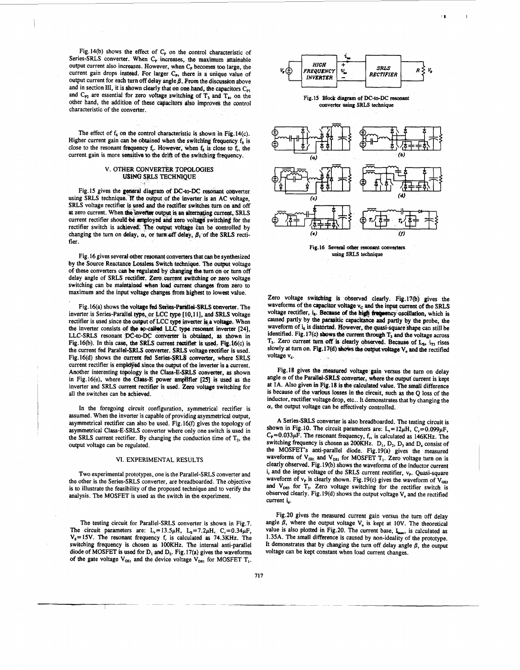Fig.14(b) shows the effect of  $C_p$  on the control characteristic of Series-SRLS converter. When C, increases, **the** maximum attainable output current also increases. However, when  $C_p$  becomes too large, the current gain drops instead. For larger C<sub>p</sub>, there is a unique value of output current for each turn *off* delay angle **@.iFrom** the discussion above and in section 111, it is shown clearly that **on one** hand, the capacitors **C,,**  and C<sub>P2</sub> are essential for zero voltage switching of T<sub>3</sub> and T<sub>4</sub>, on the other hand, the addition of these capacitors also improves the control characteristic of the converter.

The effect of  $f_s$  on the control characteristic is shown in Fig. 14(c). Higher current gain can be obtained when the switching frequency  $f_s$  is close to the resonant frequency f. However, when f<sub>s</sub> is close to f, the current gain is more sensitive **to** the drift of the switching frequency.

# V. OTHER CONVERTER TOPOLOGIES<br>**USING SRLS TECHNIQUE**

Fig.15 gives the general diagram of DC-to-DC resonant converter using **SRLS** technique.% the output of the inverter is an **AC** voltage, SRLS voltage rectifier is used and the rectifier switches turn on and off at zero current. When the inverter output is an alternating current. SRLS current rectifier should be amployed and zero voltage switching for the rectifier switch is achieved. The output voltage can be controlled by changing the turn on delay,  $\alpha$ , or turn off delay,  $\beta$ ; of the SRLS rectifier.

Fig. **16** gives several other resonant converters that *can* be synthesized by the Source Reactance **tossless** Switch technique. The output voltage of these converters can **k** regulated by **changing the turn** on or turn off delay angle of **SRLS** rectifiet. Zen, current switching **of mm** voltage switching can be maintained when load current changes from zero to maximum and the input voltage changes **from** highest to lowest value.

Fig. 16(a) shows the voltage fed Series-Parallel-SRLS converter. The inverter is Series-Parallel type, or LCC type [10,11], and SRLS voltage rectifier is used since the output of LCC type inverter is a voltage. When the inverter consists of the so-called LLC type resonant inverter [24], LLC-SRLS resonant DC-to-DC converter is obtained, as shown in Fig. 16(b). In this case, the SRLS current rectifier is used. Fig. 16(c) is the current fed Parallel-SRLS converter. SRLS voltage rectifier is used. Fig.16(d) shows the current fed Series-SRLS converter, where SRLS current rectifier is employed since the output of the inverter is a current. Another interesting topology is the Class-E-SRLS converter, as shown in Fig.16(e), where the Class-E power amplifier [25] is used as the inverter and SRLS current rectifier is used. Zero voltage switching for all the switches can be achieved.

In the foregoing circuit configuration, symmetrical rectifier is assumed. When the inverter is capable of providing asymmetrical output, asymmetrical rectifier can also be used. Fig.16(f) gives the topology of asymmetrical Class-E-SRLS converter where only one switch is used in the SRLS current rectifier. By changing the conduction time of  $T_2$ , the output voltage can be regulated.

#### VI. EXPERIMENTAL RESULTS

Two experimental prototypes, one is the Parallel-SRLS converter and the other is the Series-SRLS converter, are breadboarded. The objective is to illustrate the feasibility of the proposed technique and to verify the analysis. The MOSFET is used as the switch in the experiment.

The testing circuit for Parallel-SRLS converter is shown in Fig.7. The circuit parameters are:  $L_r = 13.5 \mu H$ ,  $L_s = 7.2 \mu H$ ,  $C_r = 0.34 \mu F$ , V,=lSV. The resonant frequency f, is calculated **as** 74.3KHz. The switching frequency is chosen **as** 100KHz. The internal anti-parallel diode of MOSFET is used for **D, and D,.** Fig.I7(a) gives the waveforms of the gate voltage  $V_{OS1}$  and the device voltage  $V_{DS1}$  for MOSFET T<sub>1</sub>.



**Fig.15 Block diagram** of **DC-to-DC resonant**  converter using **SRLS** technique



**Fig. 16 Several dher maant** *convartsrs*  **using SRLS technique** 

Zero voltage switching is **observed** cleatly. Fig.l7(b) gives the waveforms of the capacitor voltage  $v_c$  and the input current of the SRLS voltage rectifier, i<sub>s</sub>. Because of the high frequency oscillation, which is caused partly by the parasitic capacitance and partly by the probe, the waveform of i<sub>s</sub> is distorted. However, the quasi-square shape can still be identified. Fig. 17(c) shows the current through T<sub>3</sub> and the voltage across T,. Zero current **turn off** is clearly observed. **Because** of **L, i,** rises slowly at turn on. Fig.17(d) shows the output voltage  $V_0$  and the rectified voltage v,.

Fig.18 gives the measured voltage gain versus the turn on delay angle  $\alpha$  of the Parallel-SRLS converter, where the output current is kept at 1A. Also given in Fig. 18 is the calculated value. The small difference is because of the various losses in the circuit, such as the  $Q$  loss of the inductor, rectifier voltage drop, etc.. It demonstrates that by changing the  $\alpha$ , the output voltage can be effectively controlled.

A Series-SRLS converter is also breadboarded. The testing circuit is shown in Fig.10. The circuit parameters are:  $L = 12\mu$ H,  $C = 0.099\mu$ F, Cp=0.033pF. The resonant frequency, *f,.* is calculated **as 146KHz.** The switching frequency is chosen as 200KHz.  $D_1$ ,  $D_2$ ,  $D_3$  and  $D_4$  consist of the MOSFET's anti-parallel diode. Fig.l9(a) gives the measured waveforms of  $V_{0s_1}$  and  $V_{0s_1}$  for MOSFET T<sub>1</sub>. Zero voltage turn on is clearly observed. Fig. 19(b) shows the waveforms of the inductor current i, and the input voltage of the SRLS current rectifier,  $v_p$ . Quasi-square waveform of  $v_p$  is clearly shown. Fig. 19(c) gives the waveform of  $V_{gs}$ and  $V_{DS3}$  for T<sub>3</sub>. Zero voltage switching for the rectifier switch is observed clearly. Fig. 19(d) shows the output voltage  $V<sub>o</sub>$  and the rectified current **i.,.** 

Fig.20 gives the measured current gain versus the turn off delay angle  $\beta$ , where the output voltage  $V<sub>o</sub>$  is kept at 10V. The theoretical value is also plotted in Fig.20. The current base, I<sub>base</sub>, is calculated as 1.35A. The small difference is caused by non-ideality of the prototype. It demonstrates that by changing the turn off delay angle  $\beta$ , the output voltage can be kept constant when load current changes.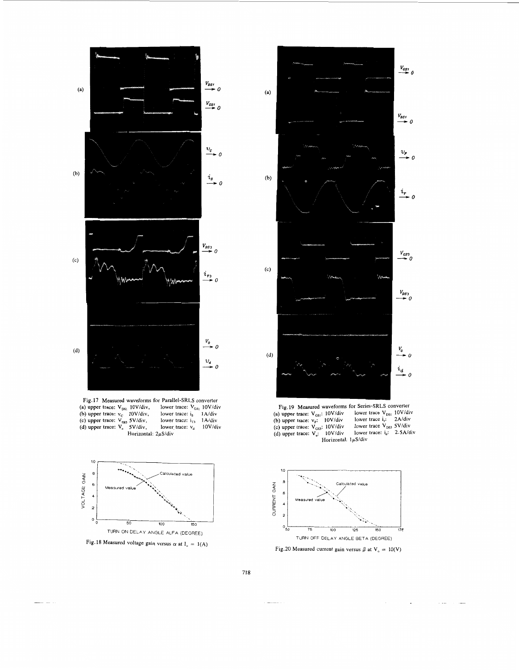

Fig. 17 Measured waveforms for Parallel-SRLS converter (a) upper trace: V<sub>0S1</sub> 10V/div, lower trace: V<sub>0S1</sub> 10V/div<br>
(b) upper trace:  $v_c$  10V/div, lower trace:  $i_s$  1A/div<br>
(c) upper trace: V<sub>0S3</sub> 5V/div, lower trace:  $v_d$  10V/div<br>
(d) upper trace: V<sub>a</sub> 5V/div, lower trace: lower trace:  $V_{GS1}$  10V/div<br>lower trace:  $i_s$  1A/div



Fig.18 Measured voltage gain versus  $\alpha$  at  $I_0 = 1(A)$ 

 $\overline{a}$ 



Fig. 19 Measured waveforms for Series-SRLS converter<br>a) upper trace:  $V_{OS1}$ :  $10V/div$  lower trace  $V_{DS1}$   $10V/div$ <br>b) upper trace:  $v_p$ :  $10V/div$  lower trace  $V_{DS1}$   $2A/div$ <br>c) upper trace:  $V_{OS1}$ :  $10V/div$  lower trace  $V_{DS1$ (a) upper trace:  $V_{GS1}$ : 10V/div lower trace  $V_{DS1}$  10V/div (b) upper trace:  $v_p$ : 10V/div lower trace  $v_c$ : 2A/div (c) upper trace:  $V_{GSS}$ : 10V/div lower trace V<sub>DS3</sub> 5V/div (d) upper trace:  $V_o$ :  $10V/div$  lower trace:  $I_a$ :  $2.5A/div$ <br>Horizontal:  $1\mu S/div$ 



Fig.20 Measured current gain versus  $\beta$  at  $V_0 = 10(V)$ 

 $\overline{a}$ 

 $\ddotsc$